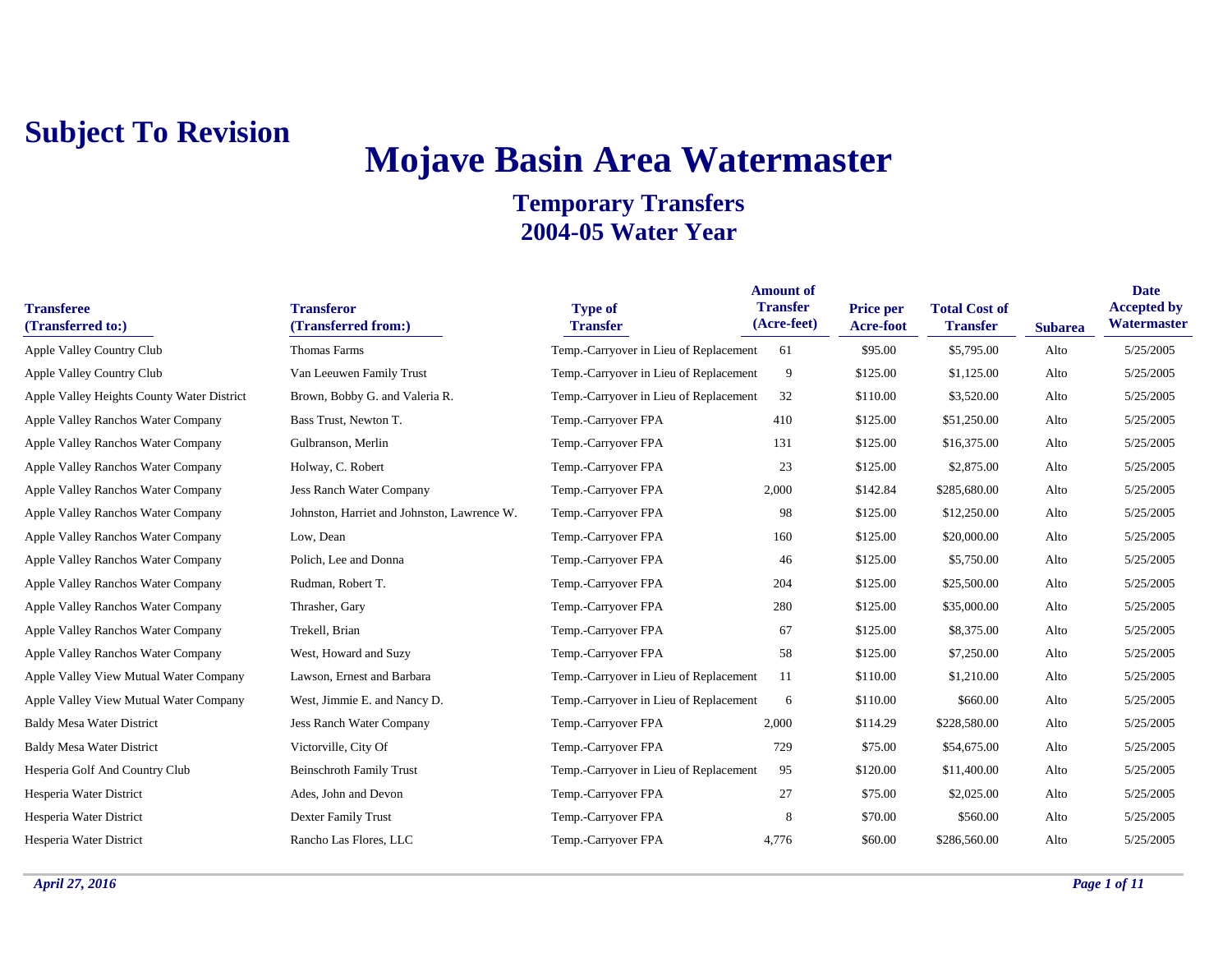## **Mojave Basin Area Watermaster**

| <b>Transferee</b><br>(Transferred to:)     | <b>Transferor</b><br>(Transferred from:)    | <b>Type of</b><br><b>Transfer</b>      | <b>Amount of</b><br><b>Transfer</b><br>(Acre-feet) | <b>Price per</b><br><b>Acre-foot</b> | <b>Total Cost of</b><br><b>Transfer</b> | <b>Subarea</b> | <b>Date</b><br><b>Accepted by</b><br>Watermaster |
|--------------------------------------------|---------------------------------------------|----------------------------------------|----------------------------------------------------|--------------------------------------|-----------------------------------------|----------------|--------------------------------------------------|
| Apple Valley Country Club                  | <b>Thomas Farms</b>                         | Temp.-Carryover in Lieu of Replacement | 61                                                 | \$95.00                              | \$5,795.00                              | Alto           | 5/25/2005                                        |
| Apple Valley Country Club                  | Van Leeuwen Family Trust                    | Temp.-Carryover in Lieu of Replacement | 9                                                  | \$125.00                             | \$1,125.00                              | Alto           | 5/25/2005                                        |
| Apple Valley Heights County Water District | Brown, Bobby G. and Valeria R.              | Temp.-Carryover in Lieu of Replacement | 32                                                 | \$110.00                             | \$3,520.00                              | Alto           | 5/25/2005                                        |
| Apple Valley Ranchos Water Company         | Bass Trust, Newton T.                       | Temp.-Carryover FPA                    | 410                                                | \$125.00                             | \$51,250.00                             | Alto           | 5/25/2005                                        |
| Apple Valley Ranchos Water Company         | Gulbranson, Merlin                          | Temp.-Carryover FPA                    | 131                                                | \$125.00                             | \$16,375.00                             | Alto           | 5/25/2005                                        |
| Apple Valley Ranchos Water Company         | Holway, C. Robert                           | Temp.-Carryover FPA                    | 23                                                 | \$125.00                             | \$2,875.00                              | Alto           | 5/25/2005                                        |
| Apple Valley Ranchos Water Company         | Jess Ranch Water Company                    | Temp.-Carryover FPA                    | 2,000                                              | \$142.84                             | \$285,680.00                            | Alto           | 5/25/2005                                        |
| Apple Valley Ranchos Water Company         | Johnston, Harriet and Johnston, Lawrence W. | Temp.-Carryover FPA                    | 98                                                 | \$125.00                             | \$12,250.00                             | Alto           | 5/25/2005                                        |
| Apple Valley Ranchos Water Company         | Low, Dean                                   | Temp.-Carryover FPA                    | 160                                                | \$125.00                             | \$20,000.00                             | Alto           | 5/25/2005                                        |
| Apple Valley Ranchos Water Company         | Polich, Lee and Donna                       | Temp.-Carryover FPA                    | 46                                                 | \$125.00                             | \$5,750.00                              | Alto           | 5/25/2005                                        |
| Apple Valley Ranchos Water Company         | Rudman, Robert T.                           | Temp.-Carryover FPA                    | 204                                                | \$125.00                             | \$25,500.00                             | Alto           | 5/25/2005                                        |
| Apple Valley Ranchos Water Company         | Thrasher, Gary                              | Temp.-Carryover FPA                    | 280                                                | \$125.00                             | \$35,000.00                             | Alto           | 5/25/2005                                        |
| Apple Valley Ranchos Water Company         | Trekell, Brian                              | Temp.-Carryover FPA                    | 67                                                 | \$125.00                             | \$8,375.00                              | Alto           | 5/25/2005                                        |
| Apple Valley Ranchos Water Company         | West, Howard and Suzy                       | Temp.-Carryover FPA                    | 58                                                 | \$125.00                             | \$7,250.00                              | Alto           | 5/25/2005                                        |
| Apple Valley View Mutual Water Company     | Lawson, Ernest and Barbara                  | Temp.-Carryover in Lieu of Replacement | 11                                                 | \$110.00                             | \$1,210.00                              | Alto           | 5/25/2005                                        |
| Apple Valley View Mutual Water Company     | West, Jimmie E. and Nancy D.                | Temp.-Carryover in Lieu of Replacement | 6                                                  | \$110.00                             | \$660.00                                | Alto           | 5/25/2005                                        |
| <b>Baldy Mesa Water District</b>           | <b>Jess Ranch Water Company</b>             | Temp.-Carryover FPA                    | 2,000                                              | \$114.29                             | \$228,580.00                            | Alto           | 5/25/2005                                        |
| <b>Baldy Mesa Water District</b>           | Victorville, City Of                        | Temp.-Carryover FPA                    | 729                                                | \$75.00                              | \$54,675.00                             | Alto           | 5/25/2005                                        |
| Hesperia Golf And Country Club             | <b>Beinschroth Family Trust</b>             | Temp.-Carryover in Lieu of Replacement | 95                                                 | \$120.00                             | \$11,400.00                             | Alto           | 5/25/2005                                        |
| Hesperia Water District                    | Ades, John and Devon                        | Temp.-Carryover FPA                    | 27                                                 | \$75.00                              | \$2,025.00                              | Alto           | 5/25/2005                                        |
| Hesperia Water District                    | <b>Dexter Family Trust</b>                  | Temp.-Carryover FPA                    | 8                                                  | \$70.00                              | \$560.00                                | Alto           | 5/25/2005                                        |
| Hesperia Water District                    | Rancho Las Flores, LLC                      | Temp.-Carryover FPA                    | 4,776                                              | \$60.00                              | \$286,560.00                            | Alto           | 5/25/2005                                        |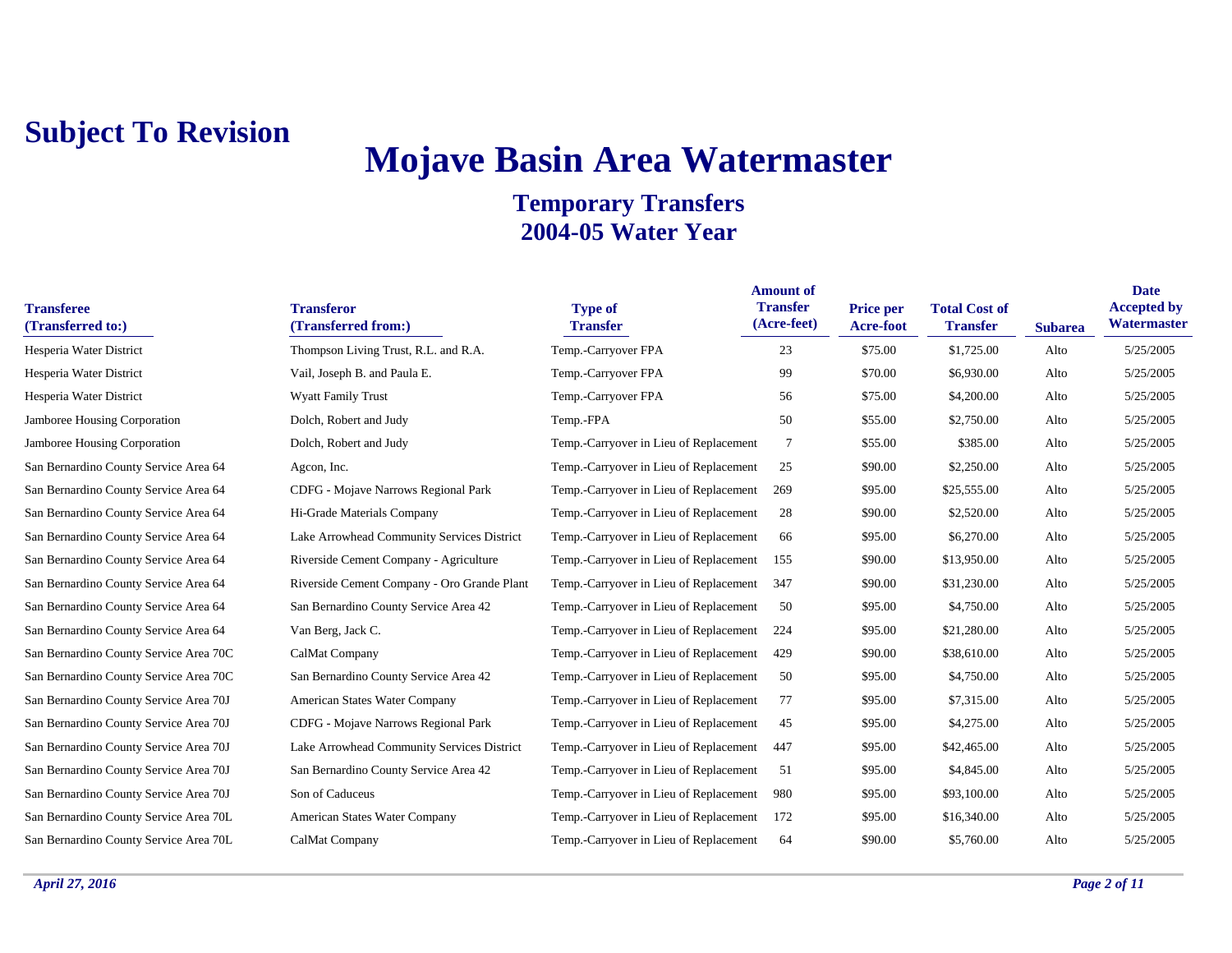# **Mojave Basin Area Watermaster**

| <b>Transferee</b><br>(Transferred to:) | <b>Transferor</b><br>(Transferred from:)    | <b>Type of</b><br><b>Transfer</b>      | <b>Amount of</b><br><b>Transfer</b><br>(Acre-feet) | <b>Price per</b><br>Acre-foot | <b>Total Cost of</b><br><b>Transfer</b> | <b>Subarea</b> | <b>Date</b><br><b>Accepted by</b><br>Watermaster |
|----------------------------------------|---------------------------------------------|----------------------------------------|----------------------------------------------------|-------------------------------|-----------------------------------------|----------------|--------------------------------------------------|
| Hesperia Water District                | Thompson Living Trust, R.L. and R.A.        | Temp.-Carryover FPA                    | 23                                                 | \$75.00                       | \$1,725.00                              | Alto           | 5/25/2005                                        |
| Hesperia Water District                | Vail, Joseph B. and Paula E.                | Temp.-Carryover FPA                    | 99                                                 | \$70.00                       | \$6,930.00                              | Alto           | 5/25/2005                                        |
| Hesperia Water District                | <b>Wyatt Family Trust</b>                   | Temp.-Carryover FPA                    | 56                                                 | \$75.00                       | \$4,200.00                              | Alto           | 5/25/2005                                        |
| Jamboree Housing Corporation           | Dolch, Robert and Judy                      | Temp.-FPA                              | 50                                                 | \$55.00                       | \$2,750.00                              | Alto           | 5/25/2005                                        |
| Jamboree Housing Corporation           | Dolch, Robert and Judy                      | Temp.-Carryover in Lieu of Replacement | 7                                                  | \$55.00                       | \$385.00                                | Alto           | 5/25/2005                                        |
| San Bernardino County Service Area 64  | Agcon, Inc.                                 | Temp.-Carryover in Lieu of Replacement | 25                                                 | \$90.00                       | \$2,250.00                              | Alto           | 5/25/2005                                        |
| San Bernardino County Service Area 64  | CDFG - Mojave Narrows Regional Park         | Temp.-Carryover in Lieu of Replacement | 269                                                | \$95.00                       | \$25,555.00                             | Alto           | 5/25/2005                                        |
| San Bernardino County Service Area 64  | Hi-Grade Materials Company                  | Temp.-Carryover in Lieu of Replacement | 28                                                 | \$90.00                       | \$2,520.00                              | Alto           | 5/25/2005                                        |
| San Bernardino County Service Area 64  | Lake Arrowhead Community Services District  | Temp.-Carryover in Lieu of Replacement | 66                                                 | \$95.00                       | \$6,270.00                              | Alto           | 5/25/2005                                        |
| San Bernardino County Service Area 64  | Riverside Cement Company - Agriculture      | Temp.-Carryover in Lieu of Replacement | 155                                                | \$90.00                       | \$13,950.00                             | Alto           | 5/25/2005                                        |
| San Bernardino County Service Area 64  | Riverside Cement Company - Oro Grande Plant | Temp.-Carryover in Lieu of Replacement | 347                                                | \$90.00                       | \$31,230.00                             | Alto           | 5/25/2005                                        |
| San Bernardino County Service Area 64  | San Bernardino County Service Area 42       | Temp.-Carryover in Lieu of Replacement | 50                                                 | \$95.00                       | \$4,750.00                              | Alto           | 5/25/2005                                        |
| San Bernardino County Service Area 64  | Van Berg, Jack C.                           | Temp.-Carryover in Lieu of Replacement | 224                                                | \$95.00                       | \$21,280.00                             | Alto           | 5/25/2005                                        |
| San Bernardino County Service Area 70C | CalMat Company                              | Temp.-Carryover in Lieu of Replacement | 429                                                | \$90.00                       | \$38,610.00                             | Alto           | 5/25/2005                                        |
| San Bernardino County Service Area 70C | San Bernardino County Service Area 42       | Temp.-Carryover in Lieu of Replacement | 50                                                 | \$95.00                       | \$4,750.00                              | Alto           | 5/25/2005                                        |
| San Bernardino County Service Area 70J | American States Water Company               | Temp.-Carryover in Lieu of Replacement | 77                                                 | \$95.00                       | \$7,315.00                              | Alto           | 5/25/2005                                        |
| San Bernardino County Service Area 70J | CDFG - Mojave Narrows Regional Park         | Temp.-Carryover in Lieu of Replacement | 45                                                 | \$95.00                       | \$4,275.00                              | Alto           | 5/25/2005                                        |
| San Bernardino County Service Area 70J | Lake Arrowhead Community Services District  | Temp.-Carryover in Lieu of Replacement | 447                                                | \$95.00                       | \$42,465.00                             | Alto           | 5/25/2005                                        |
| San Bernardino County Service Area 70J | San Bernardino County Service Area 42       | Temp.-Carryover in Lieu of Replacement | 51                                                 | \$95.00                       | \$4,845.00                              | Alto           | 5/25/2005                                        |
| San Bernardino County Service Area 70J | Son of Caduceus                             | Temp.-Carryover in Lieu of Replacement | 980                                                | \$95.00                       | \$93,100.00                             | Alto           | 5/25/2005                                        |
| San Bernardino County Service Area 70L | American States Water Company               | Temp.-Carryover in Lieu of Replacement | 172                                                | \$95.00                       | \$16,340.00                             | Alto           | 5/25/2005                                        |
| San Bernardino County Service Area 70L | CalMat Company                              | Temp.-Carryover in Lieu of Replacement | 64                                                 | \$90.00                       | \$5,760.00                              | Alto           | 5/25/2005                                        |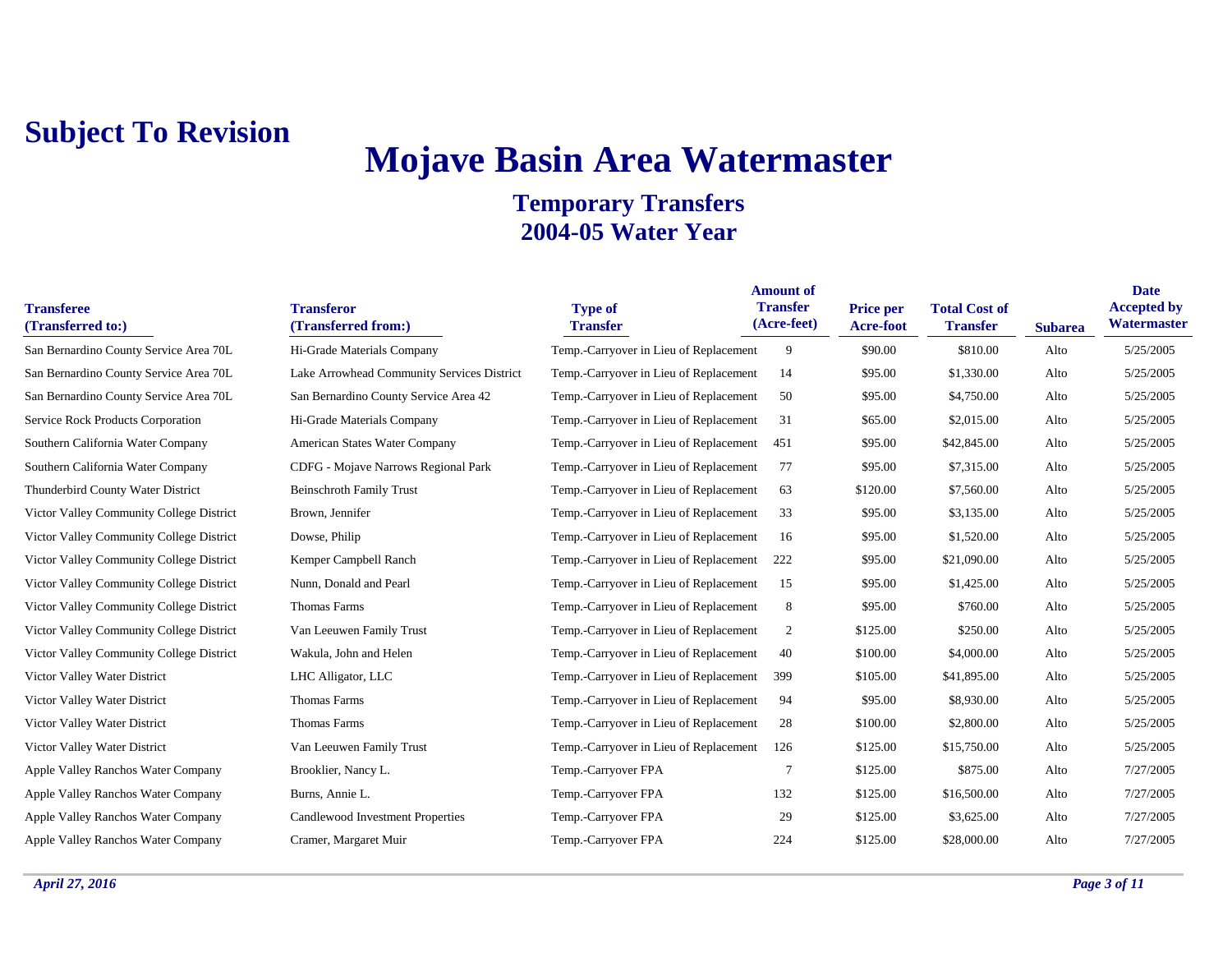# **Mojave Basin Area Watermaster**

| <b>Transferee</b><br>(Transferred to:)   | <b>Transferor</b><br>(Transferred from:)   | <b>Type of</b><br><b>Transfer</b>      | <b>Amount of</b><br><b>Transfer</b><br>(Acre-feet) | <b>Price per</b><br>Acre-foot | <b>Total Cost of</b><br><b>Transfer</b> | <b>Subarea</b> | <b>Date</b><br><b>Accepted by</b><br>Watermaster |
|------------------------------------------|--------------------------------------------|----------------------------------------|----------------------------------------------------|-------------------------------|-----------------------------------------|----------------|--------------------------------------------------|
| San Bernardino County Service Area 70L   | Hi-Grade Materials Company                 | Temp.-Carryover in Lieu of Replacement | 9                                                  | \$90.00                       | \$810.00                                | Alto           | 5/25/2005                                        |
| San Bernardino County Service Area 70L   | Lake Arrowhead Community Services District | Temp.-Carryover in Lieu of Replacement | 14                                                 | \$95.00                       | \$1,330.00                              | Alto           | 5/25/2005                                        |
| San Bernardino County Service Area 70L   | San Bernardino County Service Area 42      | Temp.-Carryover in Lieu of Replacement | 50                                                 | \$95.00                       | \$4,750.00                              | Alto           | 5/25/2005                                        |
| Service Rock Products Corporation        | Hi-Grade Materials Company                 | Temp.-Carryover in Lieu of Replacement | 31                                                 | \$65.00                       | \$2,015.00                              | Alto           | 5/25/2005                                        |
| Southern California Water Company        | American States Water Company              | Temp.-Carryover in Lieu of Replacement | 451                                                | \$95.00                       | \$42,845.00                             | Alto           | 5/25/2005                                        |
| Southern California Water Company        | CDFG - Mojave Narrows Regional Park        | Temp.-Carryover in Lieu of Replacement | 77                                                 | \$95.00                       | \$7,315.00                              | Alto           | 5/25/2005                                        |
| Thunderbird County Water District        | <b>Beinschroth Family Trust</b>            | Temp.-Carryover in Lieu of Replacement | 63                                                 | \$120.00                      | \$7,560.00                              | Alto           | 5/25/2005                                        |
| Victor Valley Community College District | Brown, Jennifer                            | Temp.-Carryover in Lieu of Replacement | 33                                                 | \$95.00                       | \$3,135.00                              | Alto           | 5/25/2005                                        |
| Victor Valley Community College District | Dowse, Philip                              | Temp.-Carryover in Lieu of Replacement | 16                                                 | \$95.00                       | \$1,520.00                              | Alto           | 5/25/2005                                        |
| Victor Valley Community College District | Kemper Campbell Ranch                      | Temp.-Carryover in Lieu of Replacement | 222                                                | \$95.00                       | \$21,090.00                             | Alto           | 5/25/2005                                        |
| Victor Valley Community College District | Nunn, Donald and Pearl                     | Temp.-Carryover in Lieu of Replacement | 15                                                 | \$95.00                       | \$1,425.00                              | Alto           | 5/25/2005                                        |
| Victor Valley Community College District | Thomas Farms                               | Temp.-Carryover in Lieu of Replacement | 8                                                  | \$95.00                       | \$760.00                                | Alto           | 5/25/2005                                        |
| Victor Valley Community College District | Van Leeuwen Family Trust                   | Temp.-Carryover in Lieu of Replacement | 2                                                  | \$125.00                      | \$250.00                                | Alto           | 5/25/2005                                        |
| Victor Valley Community College District | Wakula, John and Helen                     | Temp.-Carryover in Lieu of Replacement | 40                                                 | \$100.00                      | \$4,000.00                              | Alto           | 5/25/2005                                        |
| Victor Valley Water District             | LHC Alligator, LLC                         | Temp.-Carryover in Lieu of Replacement | 399                                                | \$105.00                      | \$41,895.00                             | Alto           | 5/25/2005                                        |
| Victor Valley Water District             | Thomas Farms                               | Temp.-Carryover in Lieu of Replacement | 94                                                 | \$95.00                       | \$8,930.00                              | Alto           | 5/25/2005                                        |
| Victor Valley Water District             | Thomas Farms                               | Temp.-Carryover in Lieu of Replacement | 28                                                 | \$100.00                      | \$2,800.00                              | Alto           | 5/25/2005                                        |
| Victor Valley Water District             | Van Leeuwen Family Trust                   | Temp.-Carryover in Lieu of Replacement | 126                                                | \$125.00                      | \$15,750.00                             | Alto           | 5/25/2005                                        |
| Apple Valley Ranchos Water Company       | Brooklier, Nancy L.                        | Temp.-Carryover FPA                    | $\overline{7}$                                     | \$125.00                      | \$875.00                                | Alto           | 7/27/2005                                        |
| Apple Valley Ranchos Water Company       | Burns, Annie L.                            | Temp.-Carryover FPA                    | 132                                                | \$125.00                      | \$16,500.00                             | Alto           | 7/27/2005                                        |
| Apple Valley Ranchos Water Company       | Candlewood Investment Properties           | Temp.-Carryover FPA                    | 29                                                 | \$125.00                      | \$3,625.00                              | Alto           | 7/27/2005                                        |
| Apple Valley Ranchos Water Company       | Cramer, Margaret Muir                      | Temp.-Carryover FPA                    | 224                                                | \$125.00                      | \$28,000.00                             | Alto           | 7/27/2005                                        |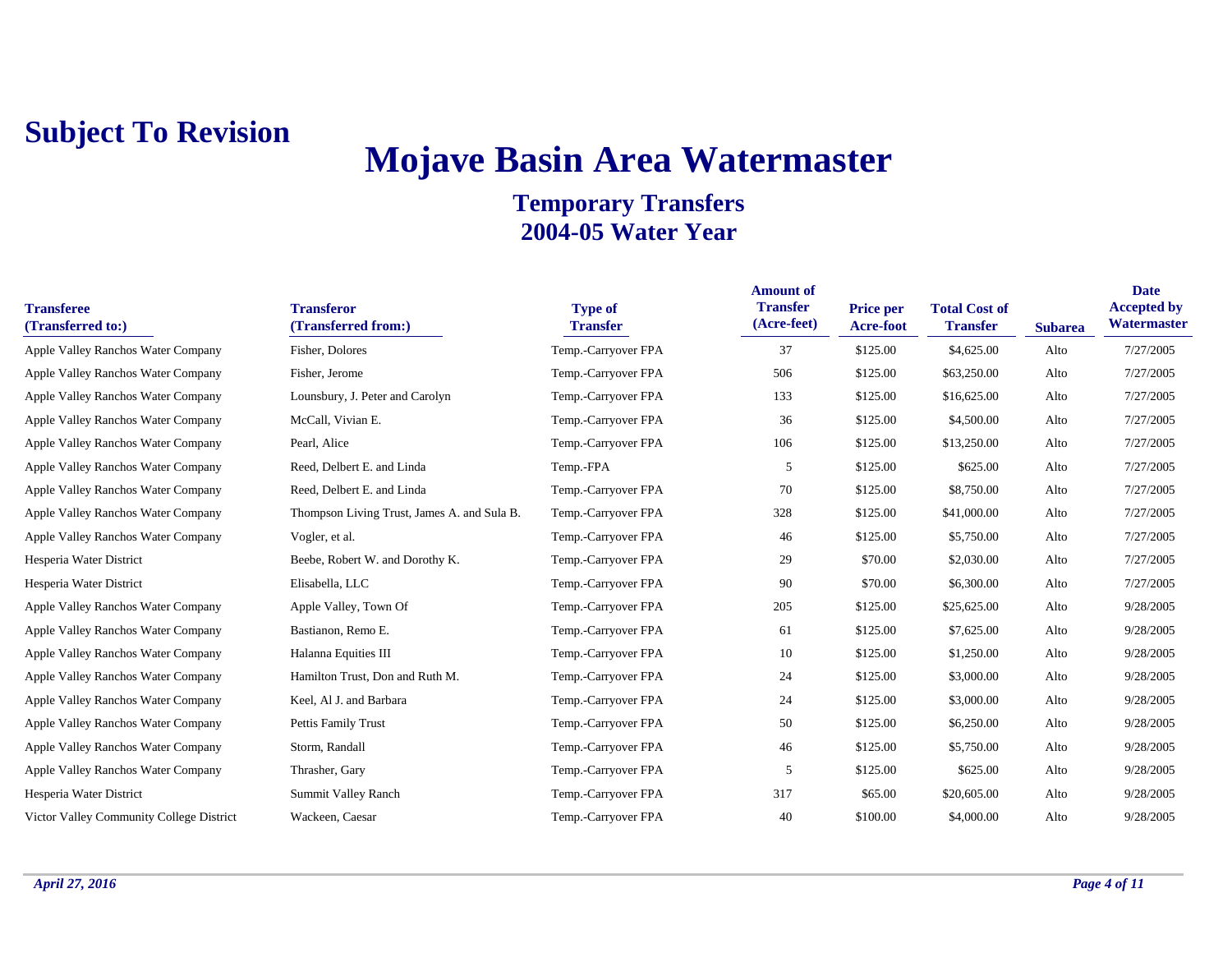## **Mojave Basin Area Watermaster**

| <b>Transferee</b><br>(Transferred to:)   | <b>Transferor</b><br>(Transferred from:)    | <b>Type of</b><br><b>Transfer</b> | <b>Amount of</b><br><b>Transfer</b><br>(Acre-feet) | <b>Price per</b><br>Acre-foot | <b>Total Cost of</b><br><b>Transfer</b> | <b>Subarea</b> | <b>Date</b><br><b>Accepted by</b><br>Watermaster |
|------------------------------------------|---------------------------------------------|-----------------------------------|----------------------------------------------------|-------------------------------|-----------------------------------------|----------------|--------------------------------------------------|
| Apple Valley Ranchos Water Company       | Fisher, Dolores                             | Temp.-Carryover FPA               | 37                                                 | \$125.00                      | \$4,625.00                              | Alto           | 7/27/2005                                        |
| Apple Valley Ranchos Water Company       | Fisher, Jerome                              | Temp.-Carryover FPA               | 506                                                | \$125.00                      | \$63,250.00                             | Alto           | 7/27/2005                                        |
| Apple Valley Ranchos Water Company       | Lounsbury, J. Peter and Carolyn             | Temp.-Carryover FPA               | 133                                                | \$125.00                      | \$16,625.00                             | Alto           | 7/27/2005                                        |
| Apple Valley Ranchos Water Company       | McCall, Vivian E.                           | Temp.-Carryover FPA               | 36                                                 | \$125.00                      | \$4,500.00                              | Alto           | 7/27/2005                                        |
| Apple Valley Ranchos Water Company       | Pearl, Alice                                | Temp.-Carryover FPA               | 106                                                | \$125.00                      | \$13,250.00                             | Alto           | 7/27/2005                                        |
| Apple Valley Ranchos Water Company       | Reed, Delbert E. and Linda                  | Temp.-FPA                         | 5                                                  | \$125.00                      | \$625.00                                | Alto           | 7/27/2005                                        |
| Apple Valley Ranchos Water Company       | Reed, Delbert E. and Linda                  | Temp.-Carryover FPA               | 70                                                 | \$125.00                      | \$8,750.00                              | Alto           | 7/27/2005                                        |
| Apple Valley Ranchos Water Company       | Thompson Living Trust, James A. and Sula B. | Temp.-Carryover FPA               | 328                                                | \$125.00                      | \$41,000.00                             | Alto           | 7/27/2005                                        |
| Apple Valley Ranchos Water Company       | Vogler, et al.                              | Temp.-Carryover FPA               | 46                                                 | \$125.00                      | \$5,750.00                              | Alto           | 7/27/2005                                        |
| Hesperia Water District                  | Beebe, Robert W. and Dorothy K.             | Temp.-Carryover FPA               | 29                                                 | \$70.00                       | \$2,030.00                              | Alto           | 7/27/2005                                        |
| Hesperia Water District                  | Elisabella, LLC                             | Temp.-Carryover FPA               | 90                                                 | \$70.00                       | \$6,300.00                              | Alto           | 7/27/2005                                        |
| Apple Valley Ranchos Water Company       | Apple Valley, Town Of                       | Temp.-Carryover FPA               | 205                                                | \$125.00                      | \$25,625.00                             | Alto           | 9/28/2005                                        |
| Apple Valley Ranchos Water Company       | Bastianon, Remo E.                          | Temp.-Carryover FPA               | 61                                                 | \$125.00                      | \$7,625.00                              | Alto           | 9/28/2005                                        |
| Apple Valley Ranchos Water Company       | Halanna Equities III                        | Temp.-Carryover FPA               | 10                                                 | \$125.00                      | \$1,250.00                              | Alto           | 9/28/2005                                        |
| Apple Valley Ranchos Water Company       | Hamilton Trust, Don and Ruth M.             | Temp.-Carryover FPA               | 24                                                 | \$125.00                      | \$3,000.00                              | Alto           | 9/28/2005                                        |
| Apple Valley Ranchos Water Company       | Keel, Al J. and Barbara                     | Temp.-Carryover FPA               | 24                                                 | \$125.00                      | \$3,000.00                              | Alto           | 9/28/2005                                        |
| Apple Valley Ranchos Water Company       | Pettis Family Trust                         | Temp.-Carryover FPA               | 50                                                 | \$125.00                      | \$6,250.00                              | Alto           | 9/28/2005                                        |
| Apple Valley Ranchos Water Company       | Storm, Randall                              | Temp.-Carryover FPA               | 46                                                 | \$125.00                      | \$5,750.00                              | Alto           | 9/28/2005                                        |
| Apple Valley Ranchos Water Company       | Thrasher, Gary                              | Temp.-Carryover FPA               | 5                                                  | \$125.00                      | \$625.00                                | Alto           | 9/28/2005                                        |
| Hesperia Water District                  | Summit Valley Ranch                         | Temp.-Carryover FPA               | 317                                                | \$65.00                       | \$20,605.00                             | Alto           | 9/28/2005                                        |
| Victor Valley Community College District | Wackeen, Caesar                             | Temp.-Carryover FPA               | 40                                                 | \$100.00                      | \$4,000.00                              | Alto           | 9/28/2005                                        |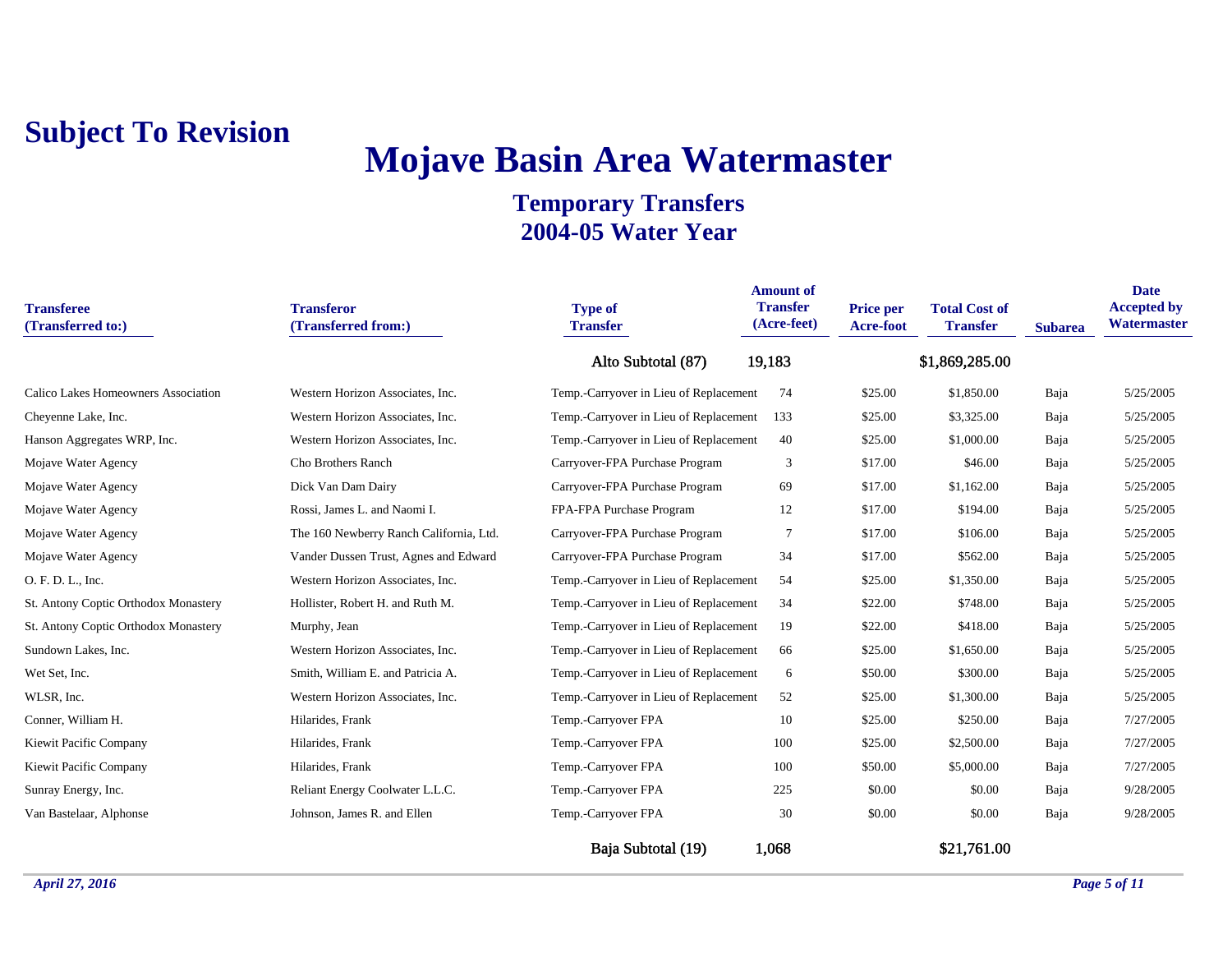## **Mojave Basin Area Watermaster**

| <b>Transferee</b><br>(Transferred to:) | <b>Transferor</b><br>(Transferred from:) | <b>Type of</b><br><b>Transfer</b>      | <b>Amount of</b><br><b>Transfer</b><br>(Acre-feet) | Price per<br><b>Acre-foot</b> | <b>Total Cost of</b><br><b>Transfer</b> | <b>Subarea</b> | <b>Date</b><br><b>Accepted by</b><br>Watermaster |
|----------------------------------------|------------------------------------------|----------------------------------------|----------------------------------------------------|-------------------------------|-----------------------------------------|----------------|--------------------------------------------------|
|                                        |                                          | Alto Subtotal (87)                     | 19,183                                             |                               | \$1,869,285.00                          |                |                                                  |
| Calico Lakes Homeowners Association    | Western Horizon Associates, Inc.         | Temp.-Carryover in Lieu of Replacement | 74                                                 | \$25.00                       | \$1,850.00                              | Baja           | 5/25/2005                                        |
| Cheyenne Lake, Inc.                    | Western Horizon Associates, Inc.         | Temp.-Carryover in Lieu of Replacement | 133                                                | \$25.00                       | \$3,325.00                              | Baja           | 5/25/2005                                        |
| Hanson Aggregates WRP, Inc.            | Western Horizon Associates, Inc.         | Temp.-Carryover in Lieu of Replacement | 40                                                 | \$25.00                       | \$1,000.00                              | Baja           | 5/25/2005                                        |
| Mojave Water Agency                    | Cho Brothers Ranch                       | Carryover-FPA Purchase Program         | 3                                                  | \$17.00                       | \$46.00                                 | Baja           | 5/25/2005                                        |
| Mojave Water Agency                    | Dick Van Dam Dairy                       | Carryover-FPA Purchase Program         | 69                                                 | \$17.00                       | \$1,162.00                              | Baja           | 5/25/2005                                        |
| Mojave Water Agency                    | Rossi, James L. and Naomi I.             | FPA-FPA Purchase Program               | 12                                                 | \$17.00                       | \$194.00                                | Baja           | 5/25/2005                                        |
| Mojave Water Agency                    | The 160 Newberry Ranch California, Ltd.  | Carryover-FPA Purchase Program         | 7                                                  | \$17.00                       | \$106.00                                | Baja           | 5/25/2005                                        |
| Mojave Water Agency                    | Vander Dussen Trust, Agnes and Edward    | Carryover-FPA Purchase Program         | 34                                                 | \$17.00                       | \$562.00                                | Baja           | 5/25/2005                                        |
| O. F. D. L., Inc.                      | Western Horizon Associates, Inc.         | Temp.-Carryover in Lieu of Replacement | 54                                                 | \$25.00                       | \$1,350.00                              | Baja           | 5/25/2005                                        |
| St. Antony Coptic Orthodox Monastery   | Hollister, Robert H. and Ruth M.         | Temp.-Carryover in Lieu of Replacement | 34                                                 | \$22.00                       | \$748.00                                | Baja           | 5/25/2005                                        |
| St. Antony Coptic Orthodox Monastery   | Murphy, Jean                             | Temp.-Carryover in Lieu of Replacement | 19                                                 | \$22.00                       | \$418.00                                | Baja           | 5/25/2005                                        |
| Sundown Lakes, Inc.                    | Western Horizon Associates, Inc.         | Temp.-Carryover in Lieu of Replacement | 66                                                 | \$25.00                       | \$1,650.00                              | Baja           | 5/25/2005                                        |
| Wet Set, Inc.                          | Smith, William E. and Patricia A.        | Temp.-Carryover in Lieu of Replacement | 6                                                  | \$50.00                       | \$300.00                                | Baja           | 5/25/2005                                        |
| WLSR, Inc.                             | Western Horizon Associates, Inc.         | Temp.-Carryover in Lieu of Replacement | 52                                                 | \$25.00                       | \$1,300.00                              | Baja           | 5/25/2005                                        |
| Conner, William H.                     | Hilarides, Frank                         | Temp.-Carryover FPA                    | 10                                                 | \$25.00                       | \$250.00                                | Baja           | 7/27/2005                                        |
| Kiewit Pacific Company                 | Hilarides, Frank                         | Temp.-Carryover FPA                    | 100                                                | \$25.00                       | \$2,500.00                              | Baja           | 7/27/2005                                        |
| Kiewit Pacific Company                 | Hilarides, Frank                         | Temp.-Carryover FPA                    | 100                                                | \$50.00                       | \$5,000.00                              | Baja           | 7/27/2005                                        |
| Sunray Energy, Inc.                    | Reliant Energy Coolwater L.L.C.          | Temp.-Carryover FPA                    | 225                                                | \$0.00                        | \$0.00                                  | Baja           | 9/28/2005                                        |
| Van Bastelaar, Alphonse                | Johnson, James R. and Ellen              | Temp.-Carryover FPA                    | 30                                                 | \$0.00                        | \$0.00                                  | Baja           | 9/28/2005                                        |
|                                        |                                          | Baja Subtotal (19)                     | 1,068                                              |                               | \$21,761.00                             |                |                                                  |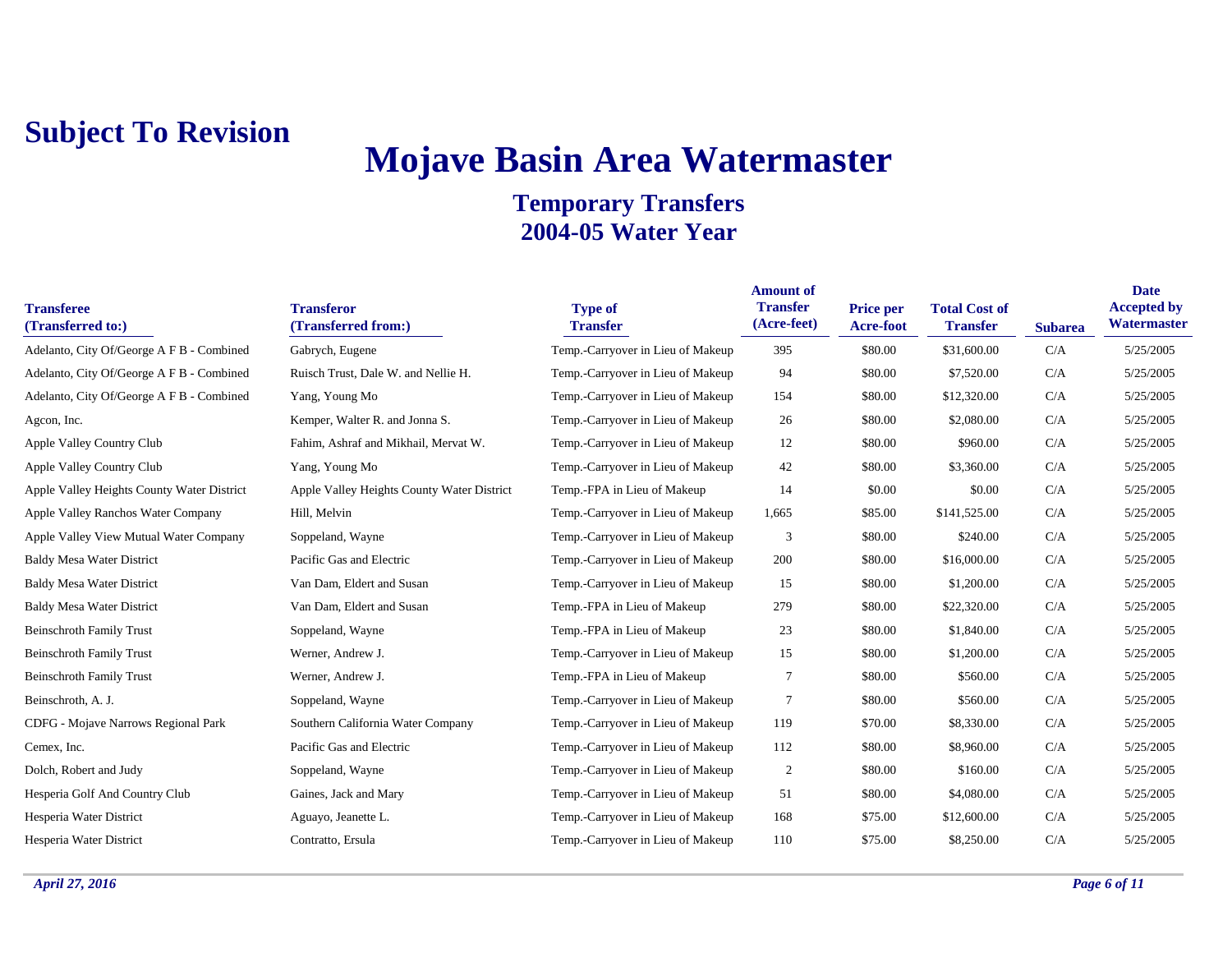## **Mojave Basin Area Watermaster**

| <b>Transferee</b><br>(Transferred to:)     | <b>Transferor</b><br>(Transferred from:)   | <b>Type of</b><br><b>Transfer</b> | <b>Amount of</b><br><b>Transfer</b><br>(Acre-feet) | <b>Price per</b><br><b>Acre-foot</b> | <b>Total Cost of</b><br><b>Transfer</b> | <b>Subarea</b> | <b>Date</b><br><b>Accepted by</b><br>Watermaster |
|--------------------------------------------|--------------------------------------------|-----------------------------------|----------------------------------------------------|--------------------------------------|-----------------------------------------|----------------|--------------------------------------------------|
| Adelanto, City Of/George A F B - Combined  | Gabrych, Eugene                            | Temp.-Carryover in Lieu of Makeup | 395                                                | \$80.00                              | \$31,600.00                             | C/A            | 5/25/2005                                        |
| Adelanto, City Of/George A F B - Combined  | Ruisch Trust, Dale W. and Nellie H.        | Temp.-Carryover in Lieu of Makeup | 94                                                 | \$80.00                              | \$7,520.00                              | C/A            | 5/25/2005                                        |
| Adelanto, City Of/George A F B - Combined  | Yang, Young Mo                             | Temp.-Carryover in Lieu of Makeup | 154                                                | \$80.00                              | \$12,320.00                             | C/A            | 5/25/2005                                        |
| Agcon, Inc.                                | Kemper, Walter R. and Jonna S.             | Temp.-Carryover in Lieu of Makeup | 26                                                 | \$80.00                              | \$2,080.00                              | C/A            | 5/25/2005                                        |
| Apple Valley Country Club                  | Fahim, Ashraf and Mikhail, Mervat W.       | Temp.-Carryover in Lieu of Makeup | 12                                                 | \$80.00                              | \$960.00                                | C/A            | 5/25/2005                                        |
| Apple Valley Country Club                  | Yang, Young Mo                             | Temp.-Carryover in Lieu of Makeup | 42                                                 | \$80.00                              | \$3,360.00                              | C/A            | 5/25/2005                                        |
| Apple Valley Heights County Water District | Apple Valley Heights County Water District | Temp.-FPA in Lieu of Makeup       | 14                                                 | \$0.00                               | \$0.00                                  | C/A            | 5/25/2005                                        |
| Apple Valley Ranchos Water Company         | Hill, Melvin                               | Temp.-Carryover in Lieu of Makeup | 1,665                                              | \$85.00                              | \$141,525.00                            | C/A            | 5/25/2005                                        |
| Apple Valley View Mutual Water Company     | Soppeland, Wayne                           | Temp.-Carryover in Lieu of Makeup | 3                                                  | \$80.00                              | \$240.00                                | C/A            | 5/25/2005                                        |
| <b>Baldy Mesa Water District</b>           | Pacific Gas and Electric                   | Temp.-Carryover in Lieu of Makeup | 200                                                | \$80.00                              | \$16,000.00                             | C/A            | 5/25/2005                                        |
| <b>Baldy Mesa Water District</b>           | Van Dam, Eldert and Susan                  | Temp.-Carryover in Lieu of Makeup | 15                                                 | \$80.00                              | \$1,200.00                              | C/A            | 5/25/2005                                        |
| <b>Baldy Mesa Water District</b>           | Van Dam, Eldert and Susan                  | Temp.-FPA in Lieu of Makeup       | 279                                                | \$80.00                              | \$22,320.00                             | C/A            | 5/25/2005                                        |
| <b>Beinschroth Family Trust</b>            | Soppeland, Wayne                           | Temp.-FPA in Lieu of Makeup       | 23                                                 | \$80.00                              | \$1,840.00                              | C/A            | 5/25/2005                                        |
| <b>Beinschroth Family Trust</b>            | Werner, Andrew J.                          | Temp.-Carryover in Lieu of Makeup | 15                                                 | \$80.00                              | \$1,200.00                              | C/A            | 5/25/2005                                        |
| <b>Beinschroth Family Trust</b>            | Werner, Andrew J.                          | Temp.-FPA in Lieu of Makeup       | 7                                                  | \$80.00                              | \$560.00                                | C/A            | 5/25/2005                                        |
| Beinschroth, A. J.                         | Soppeland, Wayne                           | Temp.-Carryover in Lieu of Makeup | $\overline{7}$                                     | \$80.00                              | \$560.00                                | C/A            | 5/25/2005                                        |
| CDFG - Mojave Narrows Regional Park        | Southern California Water Company          | Temp.-Carryover in Lieu of Makeup | 119                                                | \$70.00                              | \$8,330.00                              | C/A            | 5/25/2005                                        |
| Cemex, Inc.                                | Pacific Gas and Electric                   | Temp.-Carryover in Lieu of Makeup | 112                                                | \$80.00                              | \$8,960.00                              | C/A            | 5/25/2005                                        |
| Dolch, Robert and Judy                     | Soppeland, Wayne                           | Temp.-Carryover in Lieu of Makeup | $\overline{2}$                                     | \$80.00                              | \$160.00                                | C/A            | 5/25/2005                                        |
| Hesperia Golf And Country Club             | Gaines, Jack and Mary                      | Temp.-Carryover in Lieu of Makeup | 51                                                 | \$80.00                              | \$4,080.00                              | C/A            | 5/25/2005                                        |
| Hesperia Water District                    | Aguayo, Jeanette L.                        | Temp.-Carryover in Lieu of Makeup | 168                                                | \$75.00                              | \$12,600.00                             | C/A            | 5/25/2005                                        |
| Hesperia Water District                    | Contratto, Ersula                          | Temp.-Carryover in Lieu of Makeup | 110                                                | \$75.00                              | \$8,250,00                              | C/A            | 5/25/2005                                        |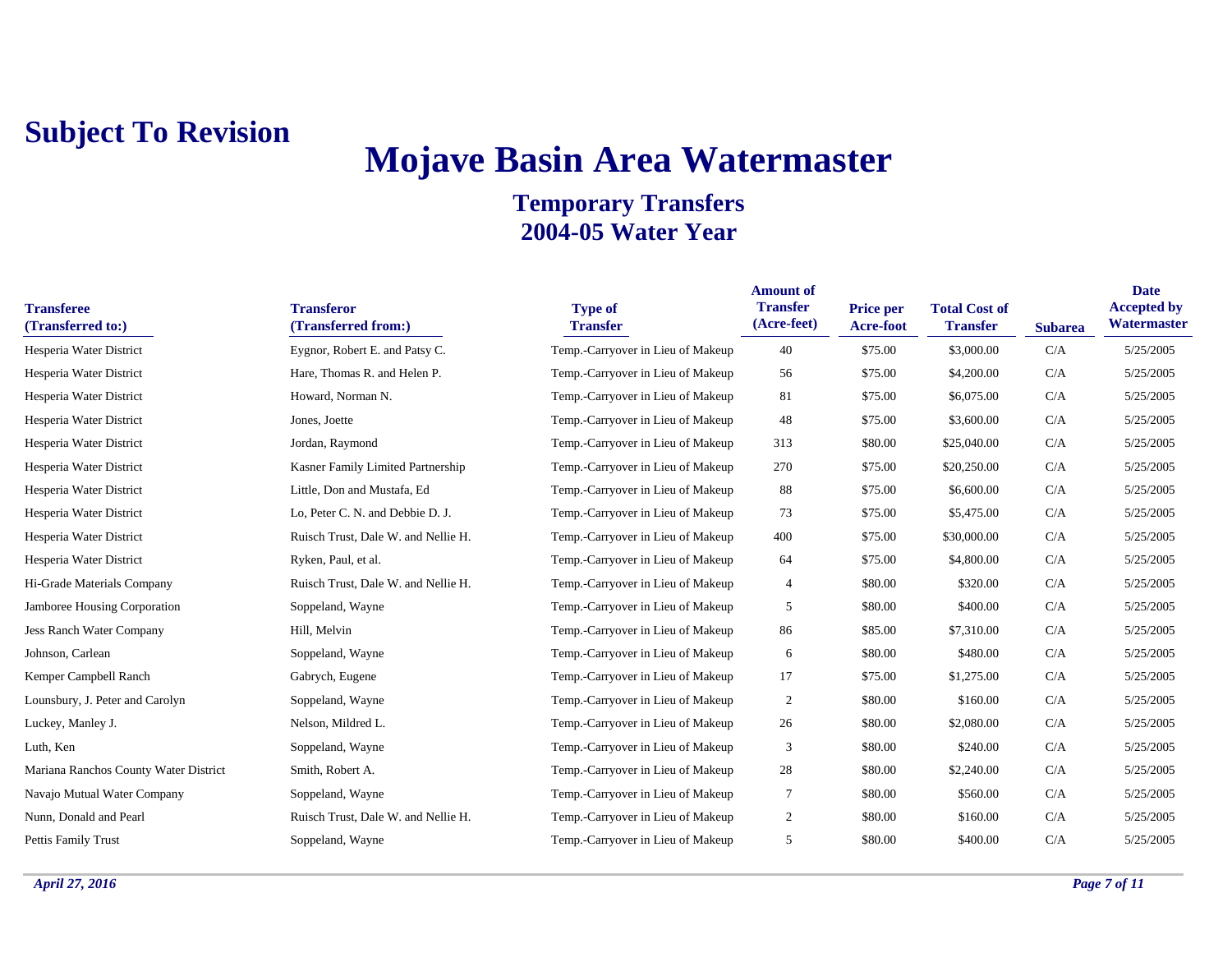## **Mojave Basin Area Watermaster**

| <b>Transferee</b><br>(Transferred to:) | <b>Transferor</b><br>(Transferred from:) | <b>Type of</b><br><b>Transfer</b> | <b>Amount of</b><br><b>Transfer</b><br>(Acre-feet) | <b>Price per</b><br>Acre-foot | <b>Total Cost of</b><br><b>Transfer</b> | <b>Subarea</b> | <b>Date</b><br><b>Accepted by</b><br>Watermaster |
|----------------------------------------|------------------------------------------|-----------------------------------|----------------------------------------------------|-------------------------------|-----------------------------------------|----------------|--------------------------------------------------|
| Hesperia Water District                | Eygnor, Robert E. and Patsy C.           | Temp.-Carryover in Lieu of Makeup | 40                                                 | \$75.00                       | \$3,000.00                              | C/A            | 5/25/2005                                        |
| Hesperia Water District                | Hare, Thomas R. and Helen P.             | Temp.-Carryover in Lieu of Makeup | 56                                                 | \$75.00                       | \$4,200.00                              | C/A            | 5/25/2005                                        |
| Hesperia Water District                | Howard, Norman N.                        | Temp.-Carryover in Lieu of Makeup | 81                                                 | \$75.00                       | \$6,075.00                              | C/A            | 5/25/2005                                        |
| Hesperia Water District                | Jones, Joette                            | Temp.-Carryover in Lieu of Makeup | 48                                                 | \$75.00                       | \$3,600.00                              | C/A            | 5/25/2005                                        |
| Hesperia Water District                | Jordan, Raymond                          | Temp.-Carryover in Lieu of Makeup | 313                                                | \$80.00                       | \$25,040.00                             | C/A            | 5/25/2005                                        |
| Hesperia Water District                | Kasner Family Limited Partnership        | Temp.-Carryover in Lieu of Makeup | 270                                                | \$75.00                       | \$20,250.00                             | C/A            | 5/25/2005                                        |
| Hesperia Water District                | Little, Don and Mustafa, Ed              | Temp.-Carryover in Lieu of Makeup | 88                                                 | \$75.00                       | \$6,600.00                              | C/A            | 5/25/2005                                        |
| Hesperia Water District                | Lo, Peter C. N. and Debbie D. J.         | Temp.-Carryover in Lieu of Makeup | 73                                                 | \$75.00                       | \$5,475.00                              | C/A            | 5/25/2005                                        |
| Hesperia Water District                | Ruisch Trust, Dale W. and Nellie H.      | Temp.-Carryover in Lieu of Makeup | 400                                                | \$75.00                       | \$30,000.00                             | C/A            | 5/25/2005                                        |
| Hesperia Water District                | Ryken, Paul, et al.                      | Temp.-Carryover in Lieu of Makeup | 64                                                 | \$75.00                       | \$4,800.00                              | C/A            | 5/25/2005                                        |
| Hi-Grade Materials Company             | Ruisch Trust, Dale W. and Nellie H.      | Temp.-Carryover in Lieu of Makeup | $\overline{4}$                                     | \$80.00                       | \$320.00                                | C/A            | 5/25/2005                                        |
| Jamboree Housing Corporation           | Soppeland, Wayne                         | Temp.-Carryover in Lieu of Makeup | 5                                                  | \$80.00                       | \$400.00                                | C/A            | 5/25/2005                                        |
| Jess Ranch Water Company               | Hill, Melvin                             | Temp.-Carryover in Lieu of Makeup | 86                                                 | \$85.00                       | \$7,310.00                              | C/A            | 5/25/2005                                        |
| Johnson, Carlean                       | Soppeland, Wayne                         | Temp.-Carryover in Lieu of Makeup | 6                                                  | \$80.00                       | \$480.00                                | C/A            | 5/25/2005                                        |
| Kemper Campbell Ranch                  | Gabrych, Eugene                          | Temp.-Carryover in Lieu of Makeup | 17                                                 | \$75.00                       | \$1,275.00                              | C/A            | 5/25/2005                                        |
| Lounsbury, J. Peter and Carolyn        | Soppeland, Wayne                         | Temp.-Carryover in Lieu of Makeup | $\overline{2}$                                     | \$80.00                       | \$160.00                                | C/A            | 5/25/2005                                        |
| Luckey, Manley J.                      | Nelson, Mildred L.                       | Temp.-Carryover in Lieu of Makeup | 26                                                 | \$80.00                       | \$2,080.00                              | C/A            | 5/25/2005                                        |
| Luth, Ken                              | Soppeland, Wayne                         | Temp.-Carryover in Lieu of Makeup | 3                                                  | \$80.00                       | \$240.00                                | C/A            | 5/25/2005                                        |
| Mariana Ranchos County Water District  | Smith, Robert A.                         | Temp.-Carryover in Lieu of Makeup | 28                                                 | \$80.00                       | \$2,240.00                              | C/A            | 5/25/2005                                        |
| Navajo Mutual Water Company            | Soppeland, Wayne                         | Temp.-Carryover in Lieu of Makeup | $\tau$                                             | \$80.00                       | \$560.00                                | C/A            | 5/25/2005                                        |
| Nunn, Donald and Pearl                 | Ruisch Trust, Dale W. and Nellie H.      | Temp.-Carryover in Lieu of Makeup | 2                                                  | \$80.00                       | \$160.00                                | C/A            | 5/25/2005                                        |
| <b>Pettis Family Trust</b>             | Soppeland, Wayne                         | Temp.-Carryover in Lieu of Makeup | 5                                                  | \$80.00                       | \$400.00                                | C/A            | 5/25/2005                                        |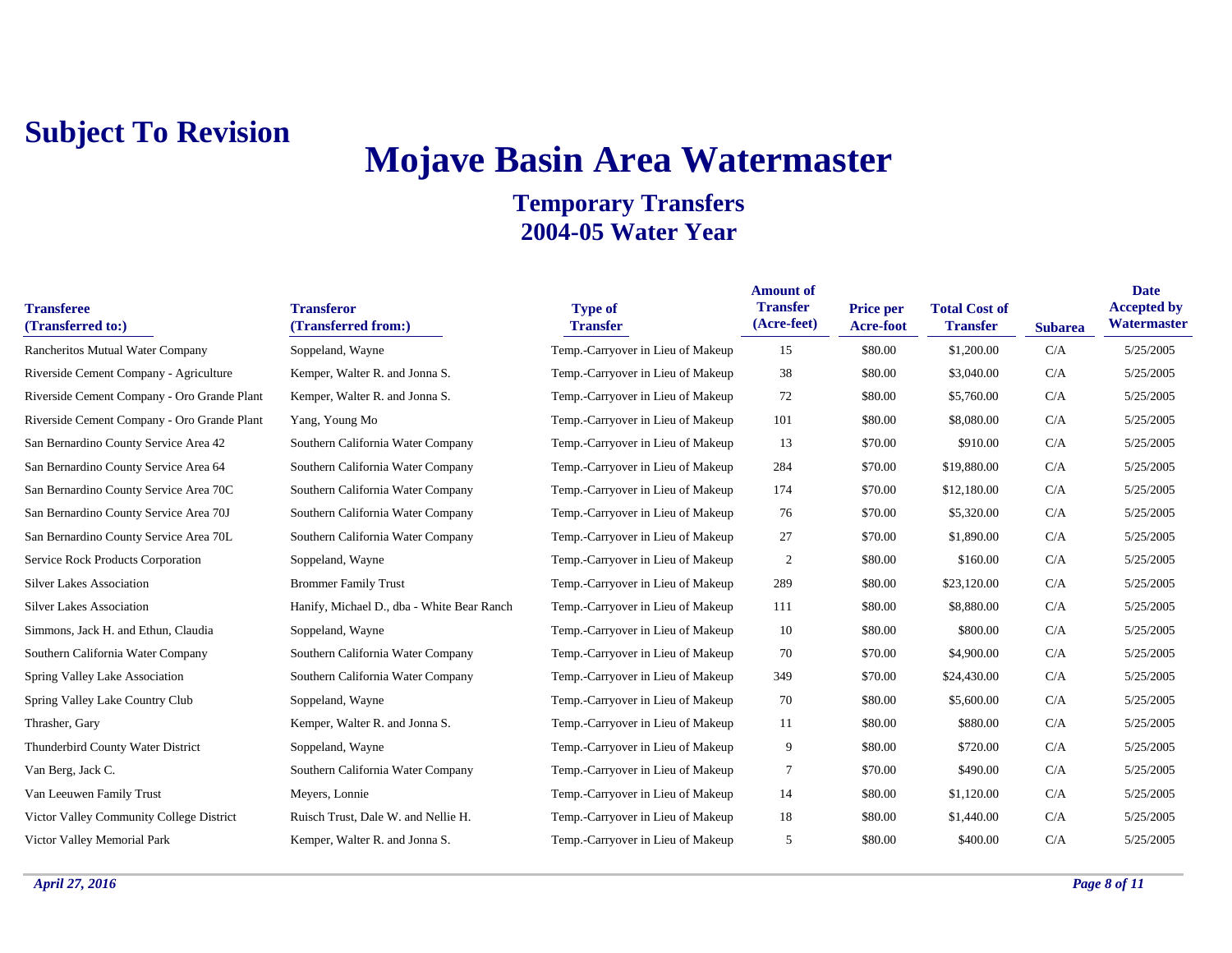## **Mojave Basin Area Watermaster**

| <b>Transferee</b><br>(Transferred to:)      | <b>Transferor</b><br>(Transferred from:)   | <b>Type of</b><br><b>Transfer</b> | <b>Amount of</b><br><b>Transfer</b><br>(Acre-feet) | <b>Price per</b><br><b>Acre-foot</b> | <b>Total Cost of</b><br><b>Transfer</b> | <b>Subarea</b> | <b>Date</b><br><b>Accepted by</b><br>Watermaster |
|---------------------------------------------|--------------------------------------------|-----------------------------------|----------------------------------------------------|--------------------------------------|-----------------------------------------|----------------|--------------------------------------------------|
| Rancheritos Mutual Water Company            | Soppeland, Wayne                           | Temp.-Carryover in Lieu of Makeup | 15                                                 | \$80.00                              | \$1,200.00                              | C/A            | 5/25/2005                                        |
| Riverside Cement Company - Agriculture      | Kemper, Walter R. and Jonna S.             | Temp.-Carryover in Lieu of Makeup | 38                                                 | \$80.00                              | \$3,040.00                              | C/A            | 5/25/2005                                        |
| Riverside Cement Company - Oro Grande Plant | Kemper, Walter R. and Jonna S.             | Temp.-Carryover in Lieu of Makeup | 72                                                 | \$80.00                              | \$5,760.00                              | C/A            | 5/25/2005                                        |
| Riverside Cement Company - Oro Grande Plant | Yang, Young Mo                             | Temp.-Carryover in Lieu of Makeup | 101                                                | \$80.00                              | \$8,080.00                              | C/A            | 5/25/2005                                        |
| San Bernardino County Service Area 42       | Southern California Water Company          | Temp.-Carryover in Lieu of Makeup | 13                                                 | \$70.00                              | \$910.00                                | C/A            | 5/25/2005                                        |
| San Bernardino County Service Area 64       | Southern California Water Company          | Temp.-Carryover in Lieu of Makeup | 284                                                | \$70.00                              | \$19,880.00                             | C/A            | 5/25/2005                                        |
| San Bernardino County Service Area 70C      | Southern California Water Company          | Temp.-Carryover in Lieu of Makeup | 174                                                | \$70.00                              | \$12,180.00                             | C/A            | 5/25/2005                                        |
| San Bernardino County Service Area 70J      | Southern California Water Company          | Temp.-Carryover in Lieu of Makeup | 76                                                 | \$70.00                              | \$5,320.00                              | C/A            | 5/25/2005                                        |
| San Bernardino County Service Area 70L      | Southern California Water Company          | Temp.-Carryover in Lieu of Makeup | 27                                                 | \$70.00                              | \$1,890.00                              | C/A            | 5/25/2005                                        |
| <b>Service Rock Products Corporation</b>    | Soppeland, Wayne                           | Temp.-Carryover in Lieu of Makeup | $\overline{2}$                                     | \$80.00                              | \$160.00                                | C/A            | 5/25/2005                                        |
| <b>Silver Lakes Association</b>             | <b>Brommer Family Trust</b>                | Temp.-Carryover in Lieu of Makeup | 289                                                | \$80.00                              | \$23,120.00                             | C/A            | 5/25/2005                                        |
| <b>Silver Lakes Association</b>             | Hanify, Michael D., dba - White Bear Ranch | Temp.-Carryover in Lieu of Makeup | 111                                                | \$80.00                              | \$8,880.00                              | C/A            | 5/25/2005                                        |
| Simmons, Jack H. and Ethun, Claudia         | Soppeland, Wayne                           | Temp.-Carryover in Lieu of Makeup | 10                                                 | \$80.00                              | \$800.00                                | C/A            | 5/25/2005                                        |
| Southern California Water Company           | Southern California Water Company          | Temp.-Carryover in Lieu of Makeup | 70                                                 | \$70.00                              | \$4,900.00                              | C/A            | 5/25/2005                                        |
| <b>Spring Valley Lake Association</b>       | Southern California Water Company          | Temp.-Carryover in Lieu of Makeup | 349                                                | \$70.00                              | \$24,430.00                             | C/A            | 5/25/2005                                        |
| Spring Valley Lake Country Club             | Soppeland, Wayne                           | Temp.-Carryover in Lieu of Makeup | 70                                                 | \$80.00                              | \$5,600.00                              | C/A            | 5/25/2005                                        |
| Thrasher, Gary                              | Kemper, Walter R. and Jonna S.             | Temp.-Carryover in Lieu of Makeup | 11                                                 | \$80.00                              | \$880.00                                | C/A            | 5/25/2005                                        |
| Thunderbird County Water District           | Soppeland, Wayne                           | Temp.-Carryover in Lieu of Makeup | 9                                                  | \$80.00                              | \$720.00                                | C/A            | 5/25/2005                                        |
| Van Berg, Jack C.                           | Southern California Water Company          | Temp.-Carryover in Lieu of Makeup | 7                                                  | \$70.00                              | \$490.00                                | C/A            | 5/25/2005                                        |
| Van Leeuwen Family Trust                    | Meyers, Lonnie                             | Temp.-Carryover in Lieu of Makeup | 14                                                 | \$80.00                              | \$1,120.00                              | C/A            | 5/25/2005                                        |
| Victor Valley Community College District    | Ruisch Trust, Dale W. and Nellie H.        | Temp.-Carryover in Lieu of Makeup | 18                                                 | \$80.00                              | \$1,440.00                              | C/A            | 5/25/2005                                        |
| Victor Valley Memorial Park                 | Kemper, Walter R. and Jonna S.             | Temp.-Carryover in Lieu of Makeup | 5                                                  | \$80.00                              | \$400.00                                | C/A            | 5/25/2005                                        |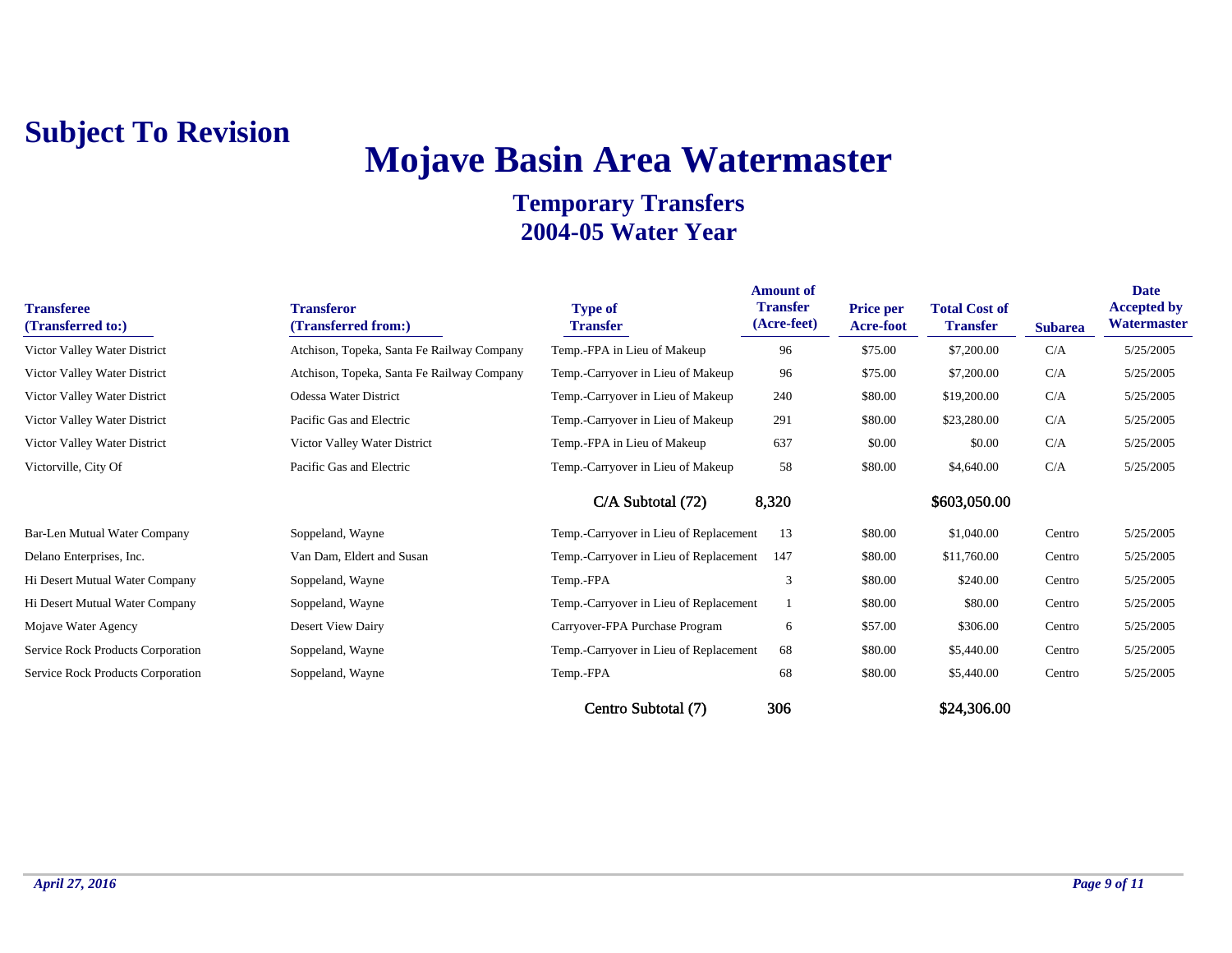# **Mojave Basin Area Watermaster**

| <b>Transferee</b><br>(Transferred to:) | <b>Transferor</b><br>(Transferred from:)   | <b>Type of</b><br><b>Transfer</b>      | <b>Amount of</b><br><b>Transfer</b><br>(Acre-feet) | <b>Price per</b><br>Acre-foot | <b>Total Cost of</b><br><b>Transfer</b> | <b>Subarea</b> | <b>Date</b><br><b>Accepted by</b><br>Watermaster |
|----------------------------------------|--------------------------------------------|----------------------------------------|----------------------------------------------------|-------------------------------|-----------------------------------------|----------------|--------------------------------------------------|
| Victor Valley Water District           | Atchison, Topeka, Santa Fe Railway Company | Temp.-FPA in Lieu of Makeup            | 96                                                 | \$75.00                       | \$7,200.00                              | C/A            | 5/25/2005                                        |
| Victor Valley Water District           | Atchison, Topeka, Santa Fe Railway Company | Temp.-Carryover in Lieu of Makeup      | 96                                                 | \$75.00                       | \$7,200.00                              | C/A            | 5/25/2005                                        |
| Victor Valley Water District           | Odessa Water District                      | Temp.-Carryover in Lieu of Makeup      | 240                                                | \$80.00                       | \$19,200.00                             | C/A            | 5/25/2005                                        |
| Victor Valley Water District           | Pacific Gas and Electric                   | Temp.-Carryover in Lieu of Makeup      | 291                                                | \$80.00                       | \$23,280.00                             | C/A            | 5/25/2005                                        |
| Victor Valley Water District           | Victor Valley Water District               | Temp.-FPA in Lieu of Makeup            | 637                                                | \$0.00                        | \$0.00                                  | C/A            | 5/25/2005                                        |
| Victorville, City Of                   | Pacific Gas and Electric                   | Temp.-Carryover in Lieu of Makeup      | 58                                                 | \$80.00                       | \$4,640.00                              | C/A            | 5/25/2005                                        |
|                                        |                                            | $C/A$ Subtotal $(72)$                  | 8,320                                              |                               | \$603,050.00                            |                |                                                  |
| Bar-Len Mutual Water Company           | Soppeland, Wayne                           | Temp.-Carryover in Lieu of Replacement | 13                                                 | \$80.00                       | \$1,040.00                              | Centro         | 5/25/2005                                        |
| Delano Enterprises, Inc.               | Van Dam, Eldert and Susan                  | Temp.-Carryover in Lieu of Replacement | 147                                                | \$80.00                       | \$11,760.00                             | Centro         | 5/25/2005                                        |
| Hi Desert Mutual Water Company         | Soppeland, Wayne                           | Temp.-FPA                              | 3                                                  | \$80.00                       | \$240.00                                | Centro         | 5/25/2005                                        |
| Hi Desert Mutual Water Company         | Soppeland, Wayne                           | Temp.-Carryover in Lieu of Replacement |                                                    | \$80.00                       | \$80.00                                 | Centro         | 5/25/2005                                        |
| Mojave Water Agency                    | Desert View Dairy                          | Carryover-FPA Purchase Program         | 6                                                  | \$57.00                       | \$306.00                                | Centro         | 5/25/2005                                        |
| Service Rock Products Corporation      | Soppeland, Wayne                           | Temp.-Carryover in Lieu of Replacement | 68                                                 | \$80.00                       | \$5,440.00                              | Centro         | 5/25/2005                                        |
| Service Rock Products Corporation      | Soppeland, Wayne                           | Temp.-FPA                              | 68                                                 | \$80.00                       | \$5,440.00                              | Centro         | 5/25/2005                                        |
|                                        |                                            | Centro Subtotal (7)                    | 306                                                |                               | \$24,306.00                             |                |                                                  |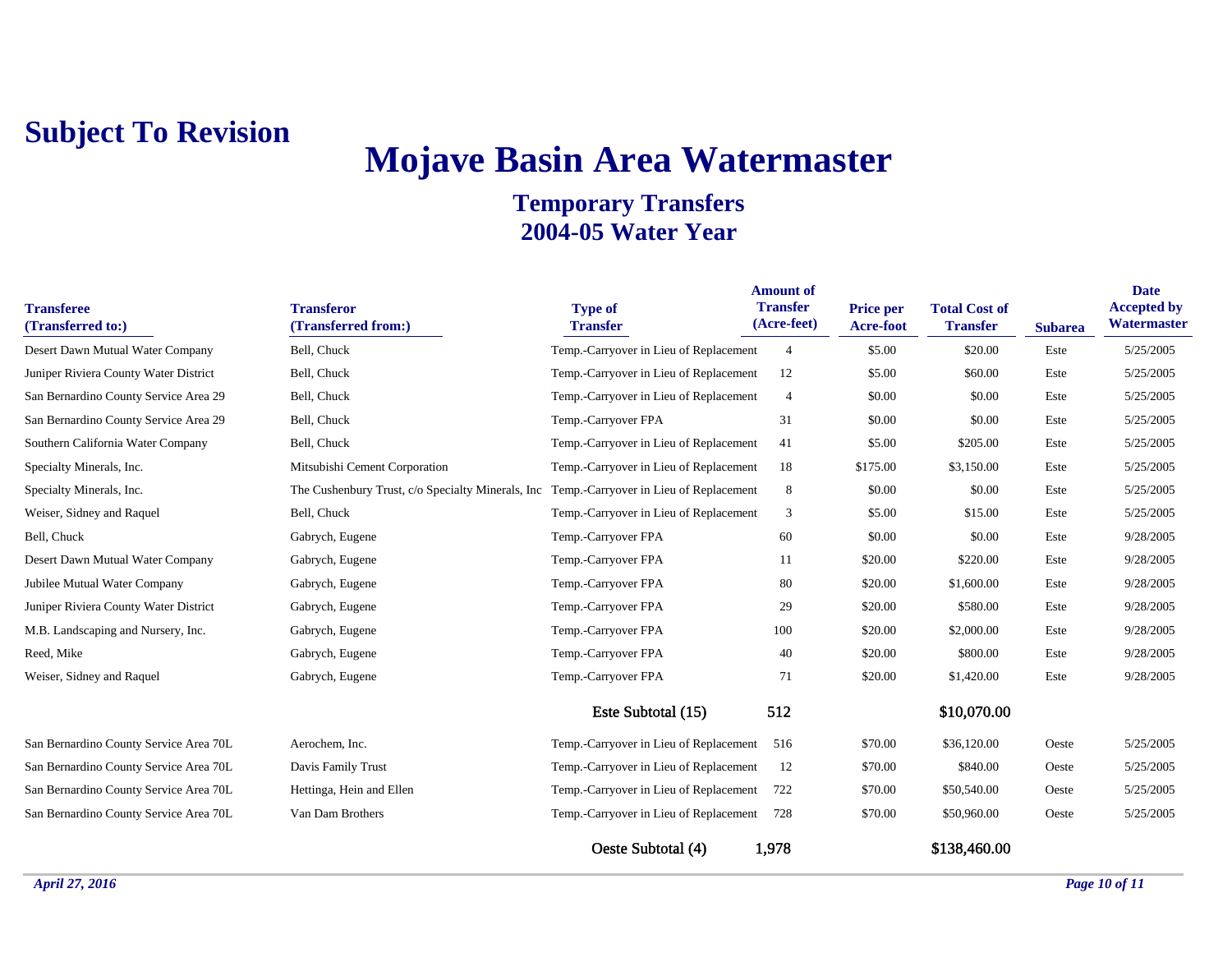## **Mojave Basin Area Watermaster**

| <b>Transferee</b><br>(Transferred to:) | <b>Transferor</b><br>(Transferred from:)                                                 | <b>Type of</b><br><b>Transfer</b>      | <b>Amount</b> of<br><b>Transfer</b><br>(Acre-feet) | <b>Price per</b><br>Acre-foot | <b>Total Cost of</b><br><b>Transfer</b> | <b>Subarea</b> | <b>Date</b><br><b>Accepted by</b><br>Watermaster |
|----------------------------------------|------------------------------------------------------------------------------------------|----------------------------------------|----------------------------------------------------|-------------------------------|-----------------------------------------|----------------|--------------------------------------------------|
| Desert Dawn Mutual Water Company       | Bell, Chuck                                                                              | Temp.-Carryover in Lieu of Replacement | $\overline{4}$                                     | \$5.00                        | \$20.00                                 | Este           | 5/25/2005                                        |
| Juniper Riviera County Water District  | Bell, Chuck                                                                              | Temp.-Carryover in Lieu of Replacement | 12                                                 | \$5.00                        | \$60.00                                 | Este           | 5/25/2005                                        |
| San Bernardino County Service Area 29  | Bell, Chuck                                                                              | Temp.-Carryover in Lieu of Replacement | $\overline{4}$                                     | \$0.00                        | \$0.00                                  | Este           | 5/25/2005                                        |
| San Bernardino County Service Area 29  | Bell, Chuck                                                                              | Temp.-Carryover FPA                    | 31                                                 | \$0.00                        | \$0.00                                  | Este           | 5/25/2005                                        |
| Southern California Water Company      | Bell, Chuck                                                                              | Temp.-Carryover in Lieu of Replacement | 41                                                 | \$5.00                        | \$205.00                                | Este           | 5/25/2005                                        |
| Specialty Minerals, Inc.               | Mitsubishi Cement Corporation                                                            | Temp.-Carryover in Lieu of Replacement | 18                                                 | \$175.00                      | \$3,150.00                              | Este           | 5/25/2005                                        |
| Specialty Minerals, Inc.               | The Cushenbury Trust, c/o Specialty Minerals, Inc Temp.-Carryover in Lieu of Replacement |                                        | 8                                                  | \$0.00                        | \$0.00                                  | Este           | 5/25/2005                                        |
| Weiser, Sidney and Raquel              | Bell, Chuck                                                                              | Temp.-Carryover in Lieu of Replacement | 3                                                  | \$5.00                        | \$15.00                                 | Este           | 5/25/2005                                        |
| Bell, Chuck                            | Gabrych, Eugene                                                                          | Temp.-Carryover FPA                    | 60                                                 | \$0.00                        | \$0.00                                  | Este           | 9/28/2005                                        |
| Desert Dawn Mutual Water Company       | Gabrych, Eugene                                                                          | Temp.-Carryover FPA                    | 11                                                 | \$20.00                       | \$220.00                                | Este           | 9/28/2005                                        |
| Jubilee Mutual Water Company           | Gabrych, Eugene                                                                          | Temp.-Carryover FPA                    | 80                                                 | \$20.00                       | \$1,600.00                              | Este           | 9/28/2005                                        |
| Juniper Riviera County Water District  | Gabrych, Eugene                                                                          | Temp.-Carryover FPA                    | 29                                                 | \$20.00                       | \$580.00                                | Este           | 9/28/2005                                        |
| M.B. Landscaping and Nursery, Inc.     | Gabrych, Eugene                                                                          | Temp.-Carryover FPA                    | 100                                                | \$20.00                       | \$2,000.00                              | Este           | 9/28/2005                                        |
| Reed, Mike                             | Gabrych, Eugene                                                                          | Temp.-Carryover FPA                    | 40                                                 | \$20.00                       | \$800.00                                | Este           | 9/28/2005                                        |
| Weiser, Sidney and Raquel              | Gabrych, Eugene                                                                          | Temp.-Carryover FPA                    | 71                                                 | \$20.00                       | \$1,420.00                              | Este           | 9/28/2005                                        |
|                                        |                                                                                          | Este Subtotal (15)                     | 512                                                |                               | \$10,070.00                             |                |                                                  |
| San Bernardino County Service Area 70L | Aerochem, Inc.                                                                           | Temp.-Carryover in Lieu of Replacement | 516                                                | \$70.00                       | \$36,120.00                             | Oeste          | 5/25/2005                                        |
| San Bernardino County Service Area 70L | Davis Family Trust                                                                       | Temp.-Carryover in Lieu of Replacement | 12                                                 | \$70.00                       | \$840.00                                | Oeste          | 5/25/2005                                        |
| San Bernardino County Service Area 70L | Hettinga, Hein and Ellen                                                                 | Temp.-Carryover in Lieu of Replacement | 722                                                | \$70.00                       | \$50,540.00                             | Oeste          | 5/25/2005                                        |
| San Bernardino County Service Area 70L | Van Dam Brothers                                                                         | Temp.-Carryover in Lieu of Replacement | 728                                                | \$70.00                       | \$50,960.00                             | Oeste          | 5/25/2005                                        |
|                                        |                                                                                          | Oeste Subtotal (4)                     | 1,978                                              |                               | \$138,460.00                            |                |                                                  |